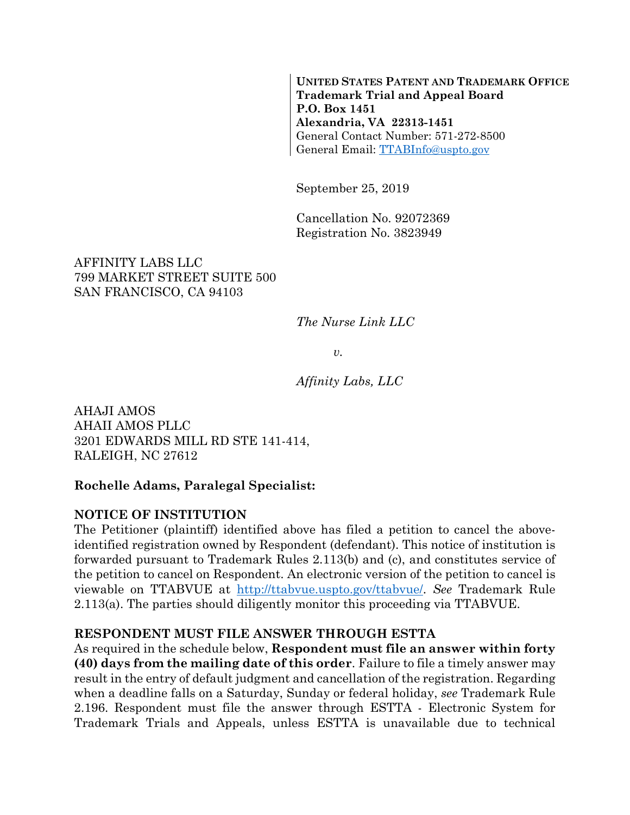**UNITED STATES PATENT AND TRADEMARK OFFICE Trademark Trial and Appeal Board P.O. Box 1451 Alexandria, VA 22313-1451**  General Contact Number: 571-272-8500 General Email: TTABInfo@uspto.gov

September 25, 2019

Cancellation No. 92072369 Registration No. 3823949

### AFFINITY LABS LLC 799 MARKET STREET SUITE 500 SAN FRANCISCO, CA 94103

*The Nurse Link LLC* 

*v.* 

*Affinity Labs, LLC* 

AHAJI AMOS AHAII AMOS PLLC 3201 EDWARDS MILL RD STE 141-414, RALEIGH, NC 27612

### **Rochelle Adams, Paralegal Specialist:**

### **NOTICE OF INSTITUTION**

The Petitioner (plaintiff) identified above has filed a petition to cancel the aboveidentified registration owned by Respondent (defendant). This notice of institution is forwarded pursuant to Trademark Rules 2.113(b) and (c), and constitutes service of the petition to cancel on Respondent. An electronic version of the petition to cancel is viewable on TTABVUE at http://ttabvue.uspto.gov/ttabvue/. *See* Trademark Rule 2.113(a). The parties should diligently monitor this proceeding via TTABVUE.

### **RESPONDENT MUST FILE ANSWER THROUGH ESTTA**

As required in the schedule below, **Respondent must file an answer within forty (40) days from the mailing date of this order**. Failure to file a timely answer may result in the entry of default judgment and cancellation of the registration. Regarding when a deadline falls on a Saturday, Sunday or federal holiday, *see* Trademark Rule 2.196. Respondent must file the answer through ESTTA - Electronic System for Trademark Trials and Appeals, unless ESTTA is unavailable due to technical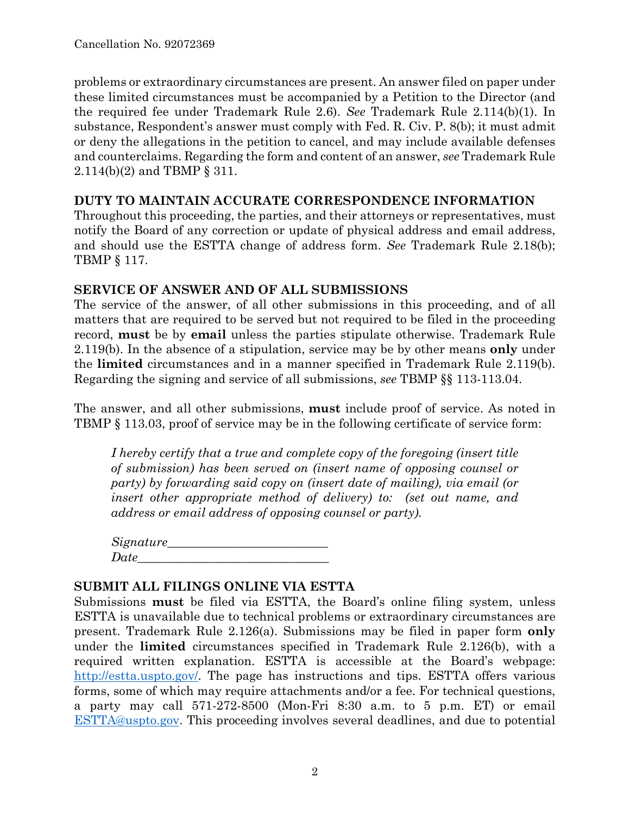problems or extraordinary circumstances are present. An answer filed on paper under these limited circumstances must be accompanied by a Petition to the Director (and the required fee under Trademark Rule 2.6). *See* Trademark Rule 2.114(b)(1). In substance, Respondent's answer must comply with Fed. R. Civ. P. 8(b); it must admit or deny the allegations in the petition to cancel, and may include available defenses and counterclaims. Regarding the form and content of an answer, *see* Trademark Rule 2.114(b)(2) and TBMP § 311.

### **DUTY TO MAINTAIN ACCURATE CORRESPONDENCE INFORMATION**

Throughout this proceeding, the parties, and their attorneys or representatives, must notify the Board of any correction or update of physical address and email address, and should use the ESTTA change of address form. *See* Trademark Rule 2.18(b); TBMP § 117.

### **SERVICE OF ANSWER AND OF ALL SUBMISSIONS**

The service of the answer, of all other submissions in this proceeding, and of all matters that are required to be served but not required to be filed in the proceeding record, **must** be by **email** unless the parties stipulate otherwise. Trademark Rule 2.119(b). In the absence of a stipulation, service may be by other means **only** under the **limited** circumstances and in a manner specified in Trademark Rule 2.119(b). Regarding the signing and service of all submissions, *see* TBMP §§ 113-113.04.

The answer, and all other submissions, **must** include proof of service. As noted in TBMP § 113.03, proof of service may be in the following certificate of service form:

*I hereby certify that a true and complete copy of the foregoing (insert title of submission) has been served on (insert name of opposing counsel or party) by forwarding said copy on (insert date of mailing), via email (or insert other appropriate method of delivery) to: (set out name, and address or email address of opposing counsel or party).* 

| Signature_ |  |
|------------|--|
| Date       |  |

### **SUBMIT ALL FILINGS ONLINE VIA ESTTA**

Submissions **must** be filed via ESTTA, the Board's online filing system, unless ESTTA is unavailable due to technical problems or extraordinary circumstances are present. Trademark Rule 2.126(a). Submissions may be filed in paper form **only** under the **limited** circumstances specified in Trademark Rule 2.126(b), with a required written explanation. ESTTA is accessible at the Board's webpage: http://estta<u>.uspto.gov/</u>. The page has instructions and tips. ESTTA offers various forms, some of which may require attachments and/or a fee. For technical questions, a party may call 571-272-8500 (Mon-Fri 8:30 a.m. to 5 p.m. ET) or email ESTTA@uspto.gov. This proceeding involves several deadlines, and due to potential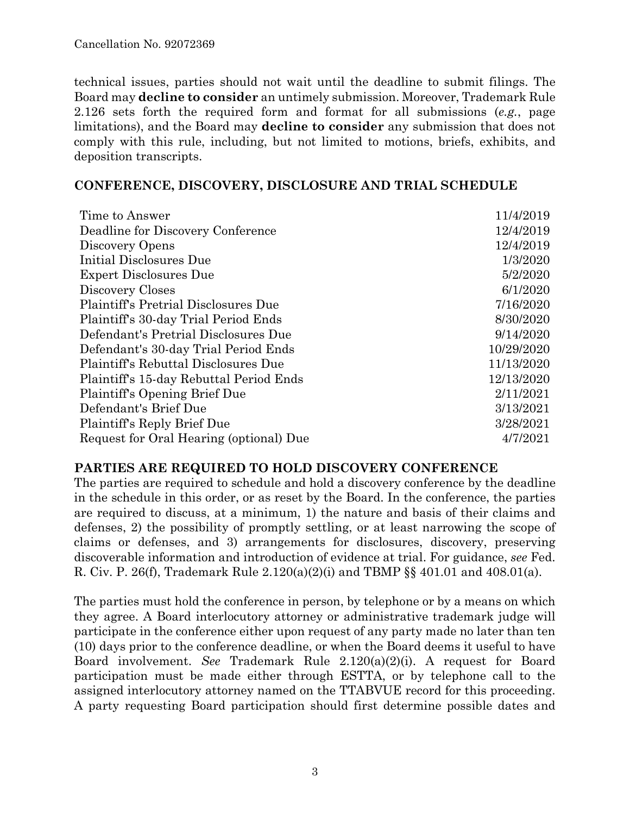technical issues, parties should not wait until the deadline to submit filings. The Board may **decline to consider** an untimely submission. Moreover, Trademark Rule 2.126 sets forth the required form and format for all submissions (*e.g.*, page limitations), and the Board may **decline to consider** any submission that does not comply with this rule, including, but not limited to motions, briefs, exhibits, and deposition transcripts.

### **CONFERENCE, DISCOVERY, DISCLOSURE AND TRIAL SCHEDULE**

| Time to Answer                              | 11/4/2019  |
|---------------------------------------------|------------|
| Deadline for Discovery Conference           | 12/4/2019  |
| Discovery Opens                             | 12/4/2019  |
| Initial Disclosures Due                     | 1/3/2020   |
| <b>Expert Disclosures Due</b>               | 5/2/2020   |
| Discovery Closes                            | 6/1/2020   |
| <b>Plaintiff's Pretrial Disclosures Due</b> | 7/16/2020  |
| Plaintiff's 30-day Trial Period Ends        | 8/30/2020  |
| Defendant's Pretrial Disclosures Due        | 9/14/2020  |
| Defendant's 30-day Trial Period Ends        | 10/29/2020 |
| Plaintiff's Rebuttal Disclosures Due        | 11/13/2020 |
| Plaintiff's 15-day Rebuttal Period Ends     | 12/13/2020 |
| Plaintiff's Opening Brief Due               | 2/11/2021  |
| Defendant's Brief Due                       | 3/13/2021  |
| Plaintiff's Reply Brief Due                 | 3/28/2021  |
| Request for Oral Hearing (optional) Due     | 4/7/2021   |

### **PARTIES ARE REQUIRED TO HOLD DISCOVERY CONFERENCE**

The parties are required to schedule and hold a discovery conference by the deadline in the schedule in this order, or as reset by the Board. In the conference, the parties are required to discuss, at a minimum, 1) the nature and basis of their claims and defenses, 2) the possibility of promptly settling, or at least narrowing the scope of claims or defenses, and 3) arrangements for disclosures, discovery, preserving discoverable information and introduction of evidence at trial. For guidance, *see* Fed. R. Civ. P. 26(f), Trademark Rule 2.120(a)(2)(i) and TBMP §§ 401.01 and 408.01(a).

The parties must hold the conference in person, by telephone or by a means on which they agree. A Board interlocutory attorney or administrative trademark judge will participate in the conference either upon request of any party made no later than ten (10) days prior to the conference deadline, or when the Board deems it useful to have Board involvement. *See* Trademark Rule 2.120(a)(2)(i). A request for Board participation must be made either through ESTTA, or by telephone call to the assigned interlocutory attorney named on the TTABVUE record for this proceeding. A party requesting Board participation should first determine possible dates and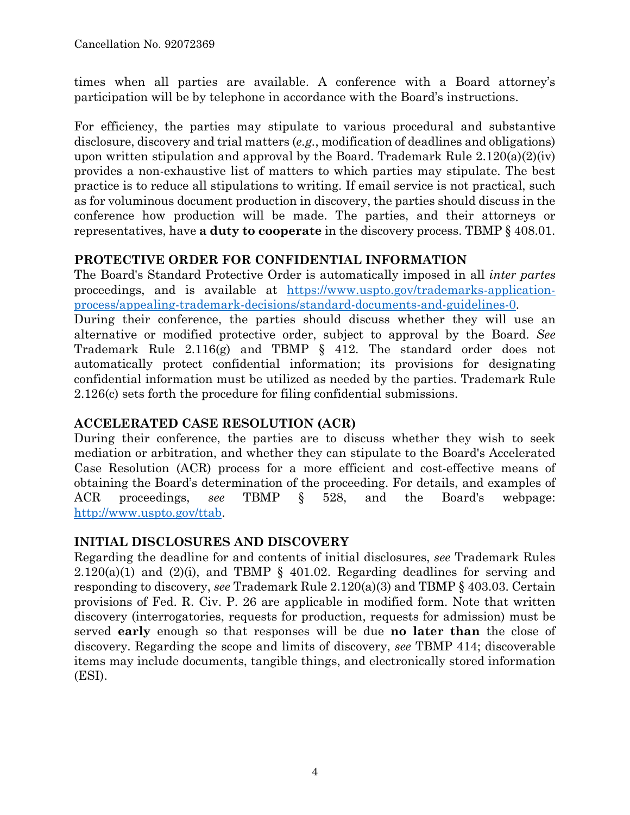times when all parties are available. A conference with a Board attorney's participation will be by telephone in accordance with the Board's instructions.

For efficiency, the parties may stipulate to various procedural and substantive disclosure, discovery and trial matters (*e.g.*, modification of deadlines and obligations) upon written stipulation and approval by the Board. Trademark Rule  $2.120(a)(2)(iv)$ provides a non-exhaustive list of matters to which parties may stipulate. The best practice is to reduce all stipulations to writing. If email service is not practical, such as for voluminous document production in discovery, the parties should discuss in the conference how production will be made. The parties, and their attorneys or representatives, have **a duty to cooperate** in the discovery process. TBMP § 408.01.

### **PROTECTIVE ORDER FOR CONFIDENTIAL INFORMATION**

The Board's Standard Protective Order is automatically imposed in all *inter partes* proceedings, and is available at https://www.uspto.gov/trademarks-applicationprocess/appealing-trademark-decisions/standard-documents-and-guidelines-0.

During their conference, the parties should discuss whether they will use an alternative or modified protective order, subject to approval by the Board. *See* Trademark Rule 2.116(g) and TBMP § 412. The standard order does not automatically protect confidential information; its provisions for designating confidential information must be utilized as needed by the parties. Trademark Rule 2.126(c) sets forth the procedure for filing confidential submissions.

# **ACCELERATED CASE RESOLUTION (ACR)**

During their conference, the parties are to discuss whether they wish to seek mediation or arbitration, and whether they can stipulate to the Board's Accelerated Case Resolution (ACR) process for a more efficient and cost-effective means of obtaining the Board's determination of the proceeding. For details, and examples of ACR proceedings, *see* TBMP § 528, and the Board's webpage: http://www.uspto.gov/ttab.

# **INITIAL DISCLOSURES AND DISCOVERY**

Regarding the deadline for and contents of initial disclosures, *see* Trademark Rules  $2.120(a)(1)$  and  $(2)(i)$ , and TBMP § 401.02. Regarding deadlines for serving and responding to discovery, *see* Trademark Rule 2.120(a)(3) and TBMP § 403.03. Certain provisions of Fed. R. Civ. P. 26 are applicable in modified form. Note that written discovery (interrogatories, requests for production, requests for admission) must be served **early** enough so that responses will be due **no later than** the close of discovery. Regarding the scope and limits of discovery, *see* TBMP 414; discoverable items may include documents, tangible things, and electronically stored information (ESI).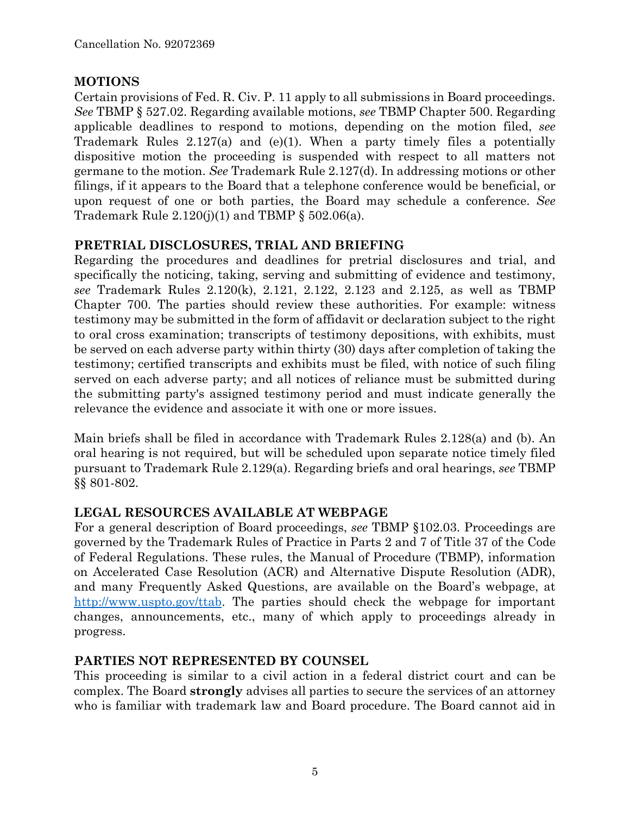## **MOTIONS**

Certain provisions of Fed. R. Civ. P. 11 apply to all submissions in Board proceedings. *See* TBMP § 527.02. Regarding available motions, *see* TBMP Chapter 500. Regarding applicable deadlines to respond to motions, depending on the motion filed, *see* Trademark Rules 2.127(a) and (e)(1). When a party timely files a potentially dispositive motion the proceeding is suspended with respect to all matters not germane to the motion. *See* Trademark Rule 2.127(d). In addressing motions or other filings, if it appears to the Board that a telephone conference would be beneficial, or upon request of one or both parties, the Board may schedule a conference. *See* Trademark Rule  $2.120(j)(1)$  and TBMP § 502.06(a).

## **PRETRIAL DISCLOSURES, TRIAL AND BRIEFING**

Regarding the procedures and deadlines for pretrial disclosures and trial, and specifically the noticing, taking, serving and submitting of evidence and testimony, *see* Trademark Rules 2.120(k), 2.121, 2.122, 2.123 and 2.125, as well as TBMP Chapter 700. The parties should review these authorities. For example: witness testimony may be submitted in the form of affidavit or declaration subject to the right to oral cross examination; transcripts of testimony depositions, with exhibits, must be served on each adverse party within thirty (30) days after completion of taking the testimony; certified transcripts and exhibits must be filed, with notice of such filing served on each adverse party; and all notices of reliance must be submitted during the submitting party's assigned testimony period and must indicate generally the relevance the evidence and associate it with one or more issues.

Main briefs shall be filed in accordance with Trademark Rules 2.128(a) and (b). An oral hearing is not required, but will be scheduled upon separate notice timely filed pursuant to Trademark Rule 2.129(a). Regarding briefs and oral hearings, *see* TBMP §§ 801-802.

# **LEGAL RESOURCES AVAILABLE AT WEBPAGE**

For a general description of Board proceedings, *see* TBMP §102.03. Proceedings are governed by the Trademark Rules of Practice in Parts 2 and 7 of Title 37 of the Code of Federal Regulations. These rules, the Manual of Procedure (TBMP), information on Accelerated Case Resolution (ACR) and Alternative Dispute Resolution (ADR), and many Frequently Asked Questions, are available on the Board's webpage, at http://www.uspto.gov/ttab. The parties should check the webpage for important changes, announcements, etc., many of which apply to proceedings already in progress.

# **PARTIES NOT REPRESENTED BY COUNSEL**

This proceeding is similar to a civil action in a federal district court and can be complex. The Board **strongly** advises all parties to secure the services of an attorney who is familiar with trademark law and Board procedure. The Board cannot aid in